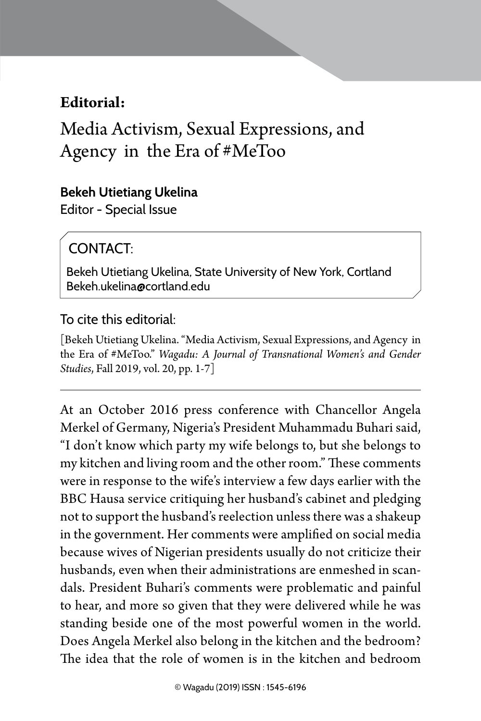# **Editorial:**

Media Activism, Sexual Expressions, and Agency in the Era of #MeToo

### **Bekeh Utietiang Ukelina**

Editor - Special Issue

# CONTACT:

Bekeh Utietiang Ukelina, State University of New York, Cortland Bekeh.ukelina@cortland.edu

## To cite this editorial:

[Bekeh Utietiang Ukelina. "Media Activism, Sexual Expressions, and Agency in the Era of #MeToo." *Wagadu: A Journal of Transnational Women's and Gender Studies*, Fall 2019, vol. 20, pp. 1-7]

At an October 2016 press conference with Chancellor Angela Merkel of Germany, Nigeria's President Muhammadu Buhari said, "I don't know which party my wife belongs to, but she belongs to my kitchen and living room and the other room." These comments were in response to the wife's interview a few days earlier with the BBC Hausa service critiquing her husband's cabinet and pledging not to support the husband's reelection unless there was a shakeup in the government. Her comments were amplified on social media because wives of Nigerian presidents usually do not criticize their husbands, even when their administrations are enmeshed in scandals. President Buhari's comments were problematic and painful to hear, and more so given that they were delivered while he was standing beside one of the most powerful women in the world. Does Angela Merkel also belong in the kitchen and the bedroom? The idea that the role of women is in the kitchen and bedroom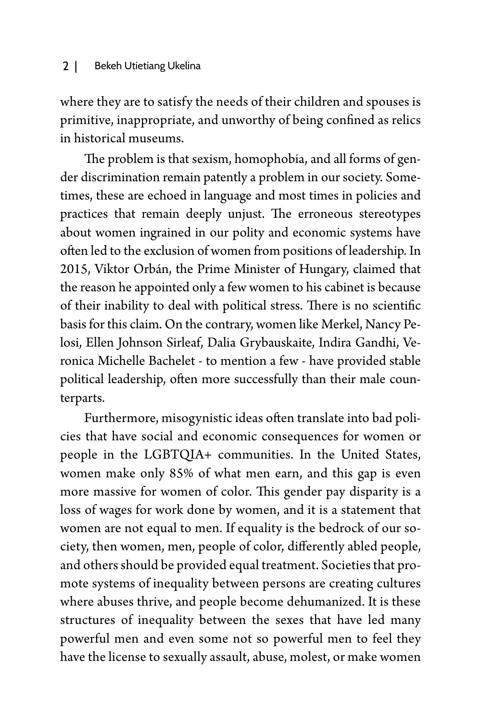#### 2 | Bekeh Utietiang Ukelina

where they are to satisfy the needs of their children and spouses is primitive, inappropriate, and unworthy of being confined as relics in historical museums.

The problem is that sexism, homophobia, and all forms of gender discrimination remain patently a problem in our society. Sometimes, these are echoed in language and most times in policies and practices that remain deeply unjust. The erroneous stereotypes about women ingrained in our polity and economic systems have often led to the exclusion of women from positions of leadership. In 2015, Viktor Orbán, the Prime Minister of Hungary, claimed that the reason he appointed only a few women to his cabinet is because of their inability to deal with political stress. There is no scientific basis for this claim. On the contrary, women like Merkel, Nancy Pelosi, Ellen Johnson Sirleaf, Dalia Grybauskaite, Indira Gandhi, Veronica Michelle Bachelet - to mention a few - have provided stable political leadership, often more successfully than their male counterparts.

Furthermore, misogynistic ideas often translate into bad policies that have social and economic consequences for women or people in the LGBTQIA+ communities. In the United States, women make only 85% of what men earn, and this gap is even more massive for women of color. This gender pay disparity is a loss of wages for work done by women, and it is a statement that women are not equal to men. If equality is the bedrock of our society, then women, men, people of color, differently abled people, and others should be provided equal treatment. Societies that promote systems of inequality between persons are creating cultures where abuses thrive, and people become dehumanized. It is these structures of inequality between the sexes that have led many powerful men and even some not so powerful men to feel they have the license to sexually assault, abuse, molest, or make women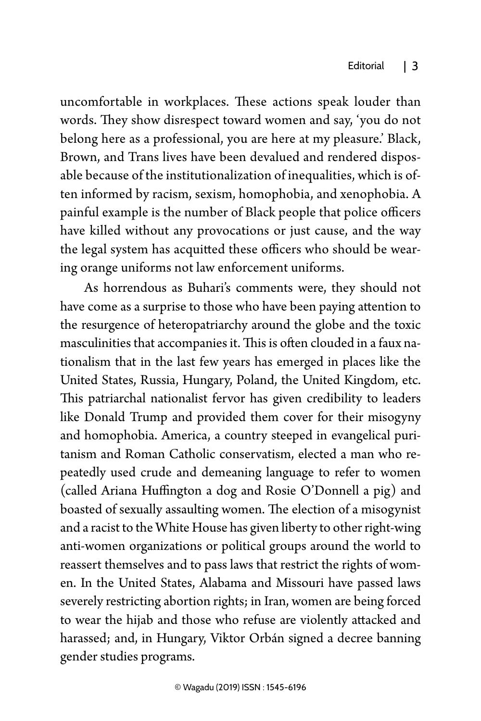uncomfortable in workplaces. These actions speak louder than words. They show disrespect toward women and say, 'you do not belong here as a professional, you are here at my pleasure.' Black, Brown, and Trans lives have been devalued and rendered disposable because of the institutionalization of inequalities, which is often informed by racism, sexism, homophobia, and xenophobia. A painful example is the number of Black people that police officers have killed without any provocations or just cause, and the way the legal system has acquitted these officers who should be wearing orange uniforms not law enforcement uniforms.

As horrendous as Buhari's comments were, they should not have come as a surprise to those who have been paying attention to the resurgence of heteropatriarchy around the globe and the toxic masculinities that accompanies it. This is often clouded in a faux nationalism that in the last few years has emerged in places like the United States, Russia, Hungary, Poland, the United Kingdom, etc. This patriarchal nationalist fervor has given credibility to leaders like Donald Trump and provided them cover for their misogyny and homophobia. America, a country steeped in evangelical puritanism and Roman Catholic conservatism, elected a man who repeatedly used crude and demeaning language to refer to women (called Ariana Huffington a dog and Rosie O'Donnell a pig) and boasted of sexually assaulting women. The election of a misogynist and a racist to the White House has given liberty to other right-wing anti-women organizations or political groups around the world to reassert themselves and to pass laws that restrict the rights of women. In the United States, Alabama and Missouri have passed laws severely restricting abortion rights; in Iran, women are being forced to wear the hijab and those who refuse are violently attacked and harassed; and, in Hungary, Viktor Orbán signed a decree banning gender studies programs.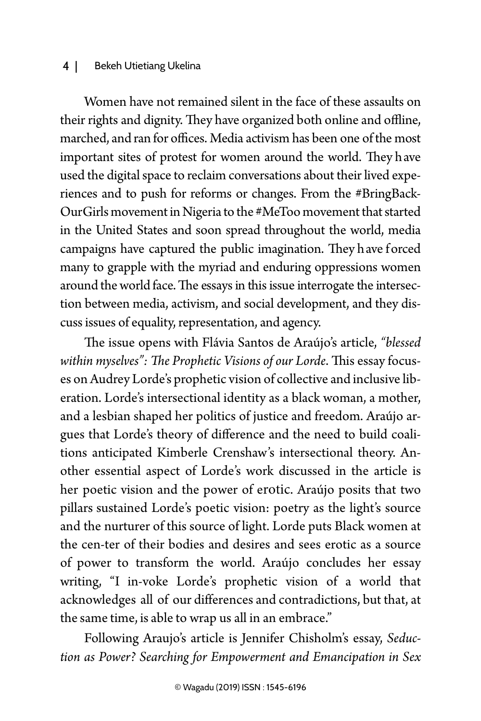#### 4 | Bekeh Utietiang Ukelina

Women have not remained silent in the face of these assaults on their rights and dignity. They have organized both online and offline, marched, and ran for offices. Media activism has been one of the most important sites of protest for women around the world. They h ave used the digital space to reclaim conversations about their lived experiences and to push for reforms or changes. From the #BringBack-OurGirls movement in Nigeria to the #MeToo movement that started in the United States and soon spread throughout the world, media campaigns have captured the public imagination. They have forced many to grapple with the myriad and enduring oppressions women around the world face. The essays in this issue interrogate the intersection between media, activism, and social development, and they discuss issues of equality, representation, and agency.

The issue opens with Flávia Santos de Araújo's article, *"blessed within myselves": The Prophetic Visions of our Lorde*. This essay focuses on Audrey Lorde's prophetic vision of collective and inclusive liberation. Lorde's intersectional identity as a black woman, a mother, and a lesbian shaped her politics of justice and freedom. Araújo argues that Lorde's theory of difference and the need to build coalitions anticipated Kimberle Crenshaw's intersectional theory. Another essential aspect of Lorde's work discussed in the article is her poetic vision and the power of erotic. Araújo posits that two pillars sustained Lorde's poetic vision: poetry as the light's source and the nurturer of this source of light. Lorde puts Black women at the cen-ter of their bodies and desires and sees erotic as a source of power to transform the world. Araújo concludes her essay writing, "I in-voke Lorde's prophetic vision of a world that acknowledges all of our differences and contradictions, but that, at the same time, is able to wrap us all in an embrace."

Following Araujo's article is Jennifer Chisholm's essay, *Seduction as Power? Searching for Empowerment and Emancipation in Sex*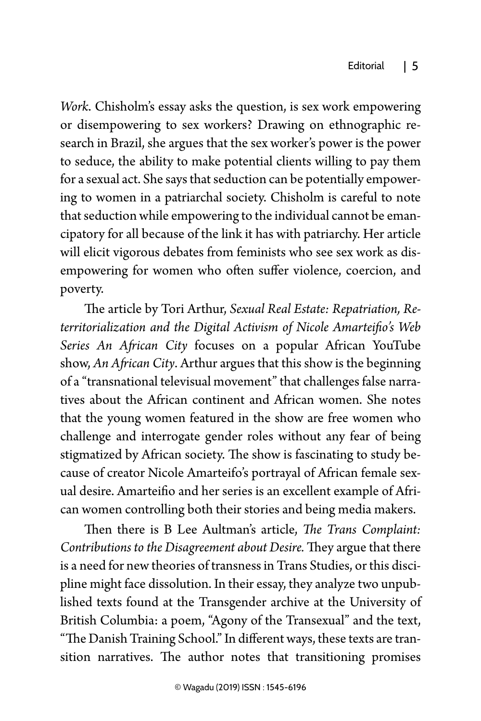*Work*. Chisholm's essay asks the question, is sex work empowering or disempowering to sex workers? Drawing on ethnographic research in Brazil, she argues that the sex worker's power is the power to seduce, the ability to make potential clients willing to pay them for a sexual act. She says that seduction can be potentially empowering to women in a patriarchal society. Chisholm is careful to note that seduction while empowering to the individual cannot be emancipatory for all because of the link it has with patriarchy. Her article will elicit vigorous debates from feminists who see sex work as disempowering for women who often suffer violence, coercion, and poverty.

The article by Tori Arthur, *Sexual Real Estate: Repatriation, Reterritorialization and the Digital Activism of Nicole Amarteifio's Web Series An African City* focuses on a popular African YouTube show, *An African City*. Arthur argues that this show is the beginning of a "transnational televisual movement" that challenges false narratives about the African continent and African women. She notes that the young women featured in the show are free women who challenge and interrogate gender roles without any fear of being stigmatized by African society. The show is fascinating to study because of creator Nicole Amarteifo's portrayal of African female sexual desire. Amarteifio and her series is an excellent example of African women controlling both their stories and being media makers.

Then there is B Lee Aultman's article, *The Trans Complaint: Contributions to the Disagreement about Desire.* They argue that there is a need for new theories of transness in Trans Studies, or this discipline might face dissolution. In their essay, they analyze two unpublished texts found at the Transgender archive at the University of British Columbia: a poem, "Agony of the Transexual" and the text, "The Danish Training School." In different ways, these texts are transition narratives. The author notes that transitioning promises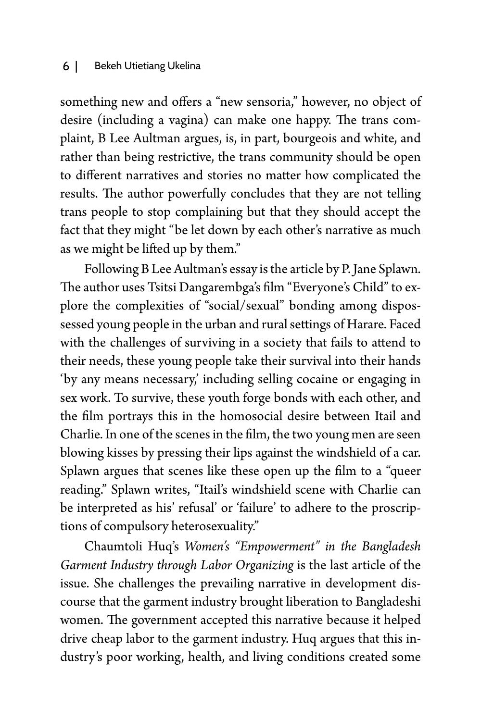#### 6 | Bekeh Utietiang Ukelina

something new and offers a "new sensoria," however, no object of desire (including a vagina) can make one happy. The trans complaint, B Lee Aultman argues, is, in part, bourgeois and white, and rather than being restrictive, the trans community should be open to different narratives and stories no matter how complicated the results. The author powerfully concludes that they are not telling trans people to stop complaining but that they should accept the fact that they might "be let down by each other's narrative as much as we might be lifted up by them."

Following B Lee Aultman's essay is the article by P. Jane Splawn. The author uses Tsitsi Dangarembga's film "Everyone's Child" to explore the complexities of "social/sexual" bonding among dispossessed young people in the urban and rural settings of Harare. Faced with the challenges of surviving in a society that fails to attend to their needs, these young people take their survival into their hands 'by any means necessary,' including selling cocaine or engaging in sex work. To survive, these youth forge bonds with each other, and the film portrays this in the homosocial desire between Itail and Charlie. In one of the scenes in the film, the two young men are seen blowing kisses by pressing their lips against the windshield of a car. Splawn argues that scenes like these open up the film to a "queer reading." Splawn writes, "Itail's windshield scene with Charlie can be interpreted as his' refusal' or 'failure' to adhere to the proscriptions of compulsory heterosexuality."

Chaumtoli Huq's *Women's "Empowerment" in the Bangladesh Garment Industry through Labor Organizing* is the last article of the issue. She challenges the prevailing narrative in development discourse that the garment industry brought liberation to Bangladeshi women. The government accepted this narrative because it helped drive cheap labor to the garment industry. Huq argues that this industry's poor working, health, and living conditions created some